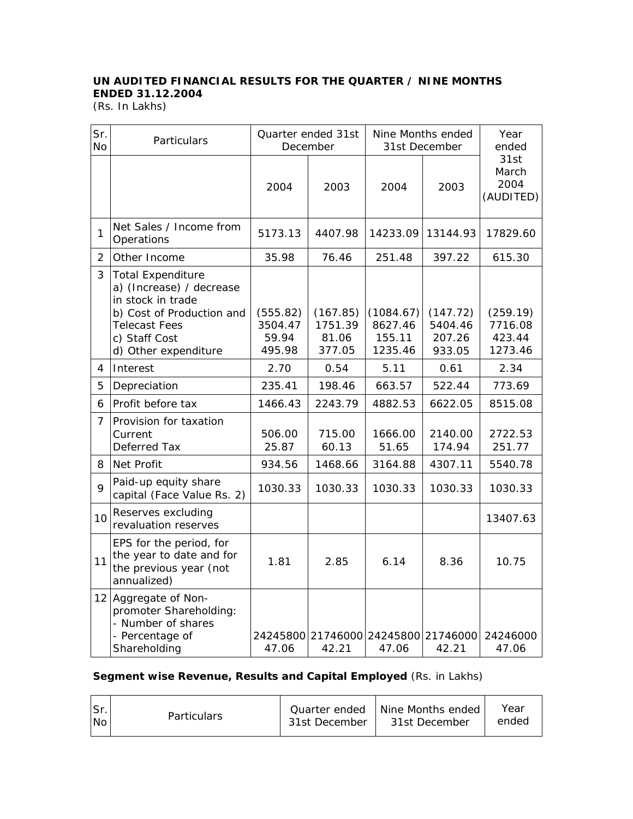## **UN AUDITED FINANCIAL RESULTS FOR THE QUARTER / NINE MONTHS ENDED 31.12.2004**

(Rs. In Lakhs)

| Sr.<br>No      | Particulars                                                                                                                                                             | Quarter ended 31st<br>December         |                                        | Nine Months ended<br>31st December        |                                         | Year<br>ended                            |  |
|----------------|-------------------------------------------------------------------------------------------------------------------------------------------------------------------------|----------------------------------------|----------------------------------------|-------------------------------------------|-----------------------------------------|------------------------------------------|--|
|                |                                                                                                                                                                         | 2004                                   | 2003                                   | 2004                                      | 2003                                    | 31st<br>March<br>2004<br>(AUDITED)       |  |
| 1              | Net Sales / Income from<br>Operations                                                                                                                                   | 5173.13                                | 4407.98                                | 14233.09                                  | 13144.93                                | 17829.60                                 |  |
| $\overline{2}$ | Other Income                                                                                                                                                            | 35.98                                  | 76.46                                  | 251.48                                    | 397.22                                  | 615.30                                   |  |
| 3              | <b>Total Expenditure</b><br>a) (Increase) / decrease<br>in stock in trade<br>b) Cost of Production and<br><b>Telecast Fees</b><br>c) Staff Cost<br>d) Other expenditure | (555.82)<br>3504.47<br>59.94<br>495.98 | (167.85)<br>1751.39<br>81.06<br>377.05 | (1084.67)<br>8627.46<br>155.11<br>1235.46 | (147.72)<br>5404.46<br>207.26<br>933.05 | (259.19)<br>7716.08<br>423.44<br>1273.46 |  |
| 4              | Interest                                                                                                                                                                | 2.70                                   | 0.54                                   | 5.11                                      | 0.61                                    | 2.34                                     |  |
| 5              | Depreciation                                                                                                                                                            | 235.41                                 | 198.46                                 | 663.57                                    | 522.44                                  | 773.69                                   |  |
| 6              | Profit before tax                                                                                                                                                       | 1466.43                                | 2243.79                                | 4882.53                                   | 6622.05                                 | 8515.08                                  |  |
| $\overline{7}$ | Provision for taxation<br>Current<br>Deferred Tax                                                                                                                       | 506.00<br>25.87                        | 715.00<br>60.13                        | 1666.00<br>51.65                          | 2140.00<br>174.94                       | 2722.53<br>251.77                        |  |
| 8              | Net Profit                                                                                                                                                              | 934.56                                 | 1468.66                                | 3164.88                                   | 4307.11                                 | 5540.78                                  |  |
| 9              | Paid-up equity share<br>capital (Face Value Rs. 2)                                                                                                                      | 1030.33                                | 1030.33                                | 1030.33                                   | 1030.33                                 | 1030.33                                  |  |
| 10             | Reserves excluding<br>revaluation reserves                                                                                                                              |                                        |                                        |                                           |                                         | 13407.63                                 |  |
| 11             | EPS for the period, for<br>the year to date and for<br>the previous year (not<br>annualized)                                                                            | 1.81                                   | 2.85                                   | 6.14                                      | 8.36                                    | 10.75                                    |  |
|                | 12 Aggregate of Non-<br>promoter Shareholding:<br>- Number of shares<br>- Percentage of<br>Shareholding                                                                 | 47.06                                  | 24245800 21746000<br>42.21             | 24245800 21746000<br>47.06                | 42.21                                   | 24246000<br>47.06                        |  |

## **Segment wise Revenue, Results and Capital Employed** (Rs. in Lakhs)

| ISr.           | <b>Particulars</b> | Quarter ended | Nine Months ended | Year  |
|----------------|--------------------|---------------|-------------------|-------|
| N <sub>O</sub> |                    | 31st December | 31st December     | ended |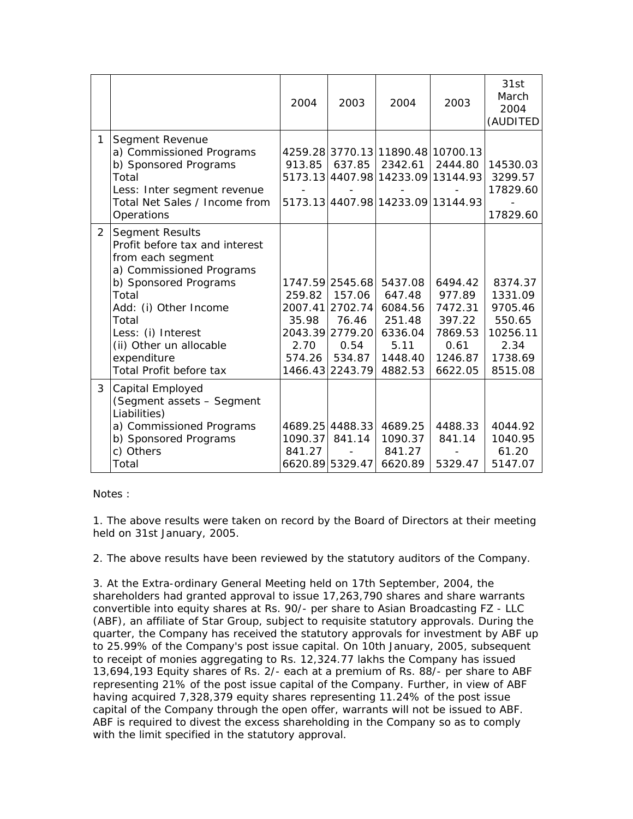|                |                                                                                                                                                                                                                                                                          | 2004                                                    | 2003                                                                                          | 2004                                                                                                                   | 2003                                                                            | 31st<br>March<br>2004<br>(AUDITED                                                 |
|----------------|--------------------------------------------------------------------------------------------------------------------------------------------------------------------------------------------------------------------------------------------------------------------------|---------------------------------------------------------|-----------------------------------------------------------------------------------------------|------------------------------------------------------------------------------------------------------------------------|---------------------------------------------------------------------------------|-----------------------------------------------------------------------------------|
| 1              | Segment Revenue<br>a) Commissioned Programs<br>b) Sponsored Programs<br>Total<br>Less: Inter segment revenue<br>Total Net Sales / Income from<br>Operations                                                                                                              | 913.85                                                  | 637.85                                                                                        | 4259.28 3770.13 11890.48 10700.13<br>2342.61<br>5173.13 4407.98 14233.09 13144.93<br>5173.13 4407.98 14233.09 13144.93 | 2444.80                                                                         | 14530.03<br>3299.57<br>17829.60<br>17829.60                                       |
| $\overline{2}$ | <b>Segment Results</b><br>Profit before tax and interest<br>from each segment<br>a) Commissioned Programs<br>b) Sponsored Programs<br>Total<br>Add: (i) Other Income<br>Total<br>Less: (i) Interest<br>(ii) Other un allocable<br>expenditure<br>Total Profit before tax | 259.82<br>2007.41<br>35.98<br>2.70<br>574.26<br>1466.43 | 1747.59 2545.68<br>157.06<br>2702.74<br>76.46<br>2043.39 2779.20<br>0.54<br>534.87<br>2243.79 | 5437.08<br>647.48<br>6084.56<br>251.48<br>6336.04<br>5.11<br>1448.40<br>4882.53                                        | 6494.42<br>977.89<br>7472.31<br>397.22<br>7869.53<br>0.61<br>1246.87<br>6622.05 | 8374.37<br>1331.09<br>9705.46<br>550.65<br>10256.11<br>2.34<br>1738.69<br>8515.08 |
| 3              | Capital Employed<br>(Segment assets - Segment<br>Liabilities)<br>a) Commissioned Programs<br>b) Sponsored Programs<br>c) Others<br>Total                                                                                                                                 | 1090.37<br>841.27                                       | 4689.25 4488.33<br>841.14<br>6620.89 5329.47                                                  | 4689.25<br>1090.37<br>841.27<br>6620.89                                                                                | 4488.33<br>841.14<br>5329.47                                                    | 4044.92<br>1040.95<br>61.20<br>5147.07                                            |

Notes :

1. The above results were taken on record by the Board of Directors at their meeting held on 31st January, 2005.

2. The above results have been reviewed by the statutory auditors of the Company.

3. At the Extra-ordinary General Meeting held on 17th September, 2004, the shareholders had granted approval to issue 17,263,790 shares and share warrants convertible into equity shares at Rs. 90/- per share to Asian Broadcasting FZ - LLC (ABF), an affiliate of Star Group, subject to requisite statutory approvals. During the quarter, the Company has received the statutory approvals for investment by ABF up to 25.99% of the Company's post issue capital. On 10th January, 2005, subsequent to receipt of monies aggregating to Rs. 12,324.77 lakhs the Company has issued 13,694,193 Equity shares of Rs. 2/- each at a premium of Rs. 88/- per share to ABF representing 21% of the post issue capital of the Company. Further, in view of ABF having acquired 7,328,379 equity shares representing 11.24% of the post issue capital of the Company through the open offer, warrants will not be issued to ABF. ABF is required to divest the excess shareholding in the Company so as to comply with the limit specified in the statutory approval.